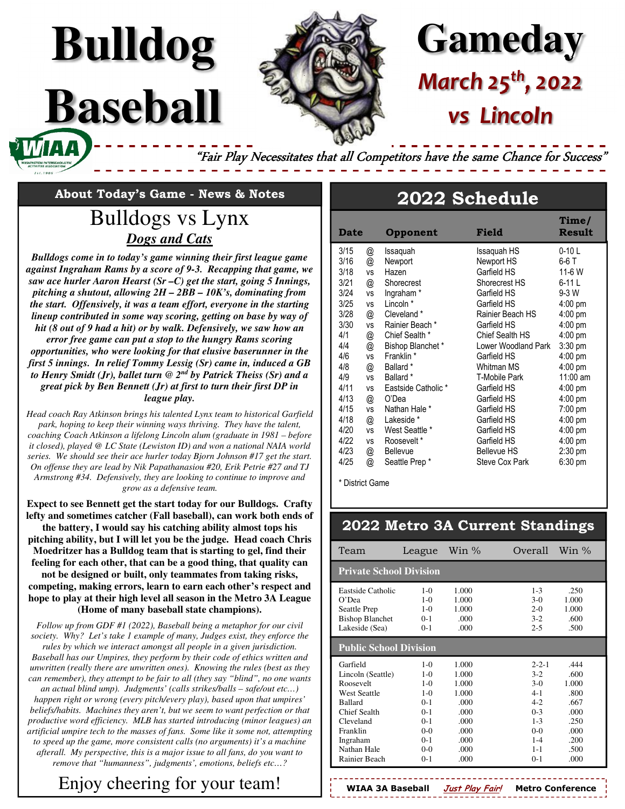

# **Gameday** *March 25th, 2022 vs Lincoln*

"Fair Play Necessitates that all Competitors have the same Chance for Success"

**About Today's Game - News & Notes** 

**Bulldog**

**Baseball** 

# Bulldogs vs Lynx *Dogs and Cats*

*Bulldogs come in to today's game winning their first league game against Ingraham Rams by a score of 9-3. Recapping that game, we saw ace hurler Aaron Hearst (Sr –C) get the start, going 5 Innings, pitching a shutout, allowing 2H – 2BB – 10K's, dominating from the start. Offensively, it was a team effort, everyone in the starting lineup contributed in some way scoring, getting on base by way of hit (8 out of 9 had a hit) or by walk. Defensively, we saw how an error free game can put a stop to the hungry Rams scoring opportunities, who were looking for that elusive baserunner in the first 5 innings. In relief Tommy Lessig (Sr) came in, induced a GB to Henry Smidt (Jr), ballet turn @ 2nd by Patrick Theiss (Sr) and a great pick by Ben Bennett (Jr) at first to turn their first DP in league play.* 

*Head coach Ray Atkinson brings his talented Lynx team to historical Garfield park, hoping to keep their winning ways thriving. They have the talent, coaching Coach Atkinson a lifelong Lincoln alum (graduate in 1981 – before it closed), played @ LC State (Lewiston ID) and won a national NAIA world series. We should see their ace hurler today Bjorn Johnson #17 get the start. On offense they are lead by Nik Papathanasiou #20, Erik Petrie #27 and TJ Armstrong #34. Defensively, they are looking to continue to improve and grow as a defensive team.* 

**Expect to see Bennett get the start today for our Bulldogs. Crafty lefty and sometimes catcher (Fall baseball), can work both ends of the battery, I would say his catching ability almost tops his pitching ability, but I will let you be the judge. Head coach Chris Moedritzer has a Bulldog team that is starting to gel, find their feeling for each other, that can be a good thing, that quality can not be designed or built, only teammates from taking risks, competing, making errors, learn to earn each other's respect and hope to play at their high level all season in the Metro 3A League (Home of many baseball state champions).** 

*Follow up from GDF #1 (2022), Baseball being a metaphor for our civil society. Why? Let's take 1 example of many, Judges exist, they enforce the rules by which we interact amongst all people in a given jurisdiction. Baseball has our Umpires, they perform by their code of ethics written and unwritten (really there are unwritten ones). Knowing the rules (best as they can remember), they attempt to be fair to all (they say "blind", no one wants an actual blind ump). Judgments' (calls strikes/balls – safe/out etc…) happen right or wrong (every pitch/every play), based upon that umpires' beliefs/habits. Machines they aren't, but we seem to want perfection or that productive word efficiency. MLB has started introducing (minor leagues) an artificial umpire tech to the masses of fans. Some like it some not, attempting to speed up the game, more consistent calls (no arguments) it's a machine afterall. My perspective, this is a major issue to all fans, do you want to remove that "humanness", judgments', emotions, beliefs etc…?* 

# Enjoy cheering for your team!

# **2022 Schedule**

| <b>Date</b> |           | Opponent              | Field                | Time/<br><b>Result</b> |
|-------------|-----------|-----------------------|----------------------|------------------------|
| 3/15        | @         | Issaquah              | Issaquah HS          | $0-10$ L               |
| 3/16        | @         | Newport               | Newport HS           | 6-6 T                  |
| 3/18        | <b>VS</b> | Hazen                 | Garfield HS          | 11-6 W                 |
| 3/21        | @         | Shorecrest            | Shorecrest HS        | 6-11 L                 |
| 3/24        | <b>VS</b> | Ingraham <sup>*</sup> | Garfield HS          | $9-3$ W                |
| 3/25        | <b>VS</b> | Lincoln <sup>*</sup>  | Garfield HS          | $4:00 \text{ pm}$      |
| 3/28        | @         | Cleveland *           | Rainier Beach HS     | $4:00$ pm              |
| 3/30        | ٧S        | Rainier Beach *       | Garfield HS          | $4:00$ pm              |
| 4/1         | @         | Chief Sealth *        | Chief Sealth HS      | $4:00$ pm              |
| 4/4         | @         | Bishop Blanchet*      | Lower Woodland Park  | $3:30$ pm              |
| 4/6         | <b>VS</b> | Franklin *            | Garfield HS          | $4:00$ pm              |
| 4/8         | @         | Ballard *             | Whitman MS           | $4:00$ pm              |
| 4/9         | <b>VS</b> | Ballard *             | <b>T-Mobile Park</b> | 11:00 am               |
| 4/11        | <b>VS</b> | Eastside Catholic *   | Garfield HS          | $4:00 \text{ pm}$      |
| 4/13        | @         | O'Dea                 | Garfield HS          | $4:00$ pm              |
| 4/15        | <b>VS</b> | Nathan Hale *         | Garfield HS          | $7:00 \text{ pm}$      |
| 4/18        | @         | Lakeside *            | Garfield HS          | $4:00$ pm              |
| 4/20        | <b>VS</b> | West Seattle *        | Garfield HS          | $4:00$ pm              |
| 4/22        | <b>VS</b> | Roosevelt*            | Garfield HS          | $4:00 \text{ pm}$      |
| 4/23        | @         | Bellevue              | <b>Bellevue HS</b>   | $2:30$ pm              |
| 4/25        | @         | Seattle Prep*         | Steve Cox Park       | $6:30$ pm              |

\* District Game

### **2022 Metro 3A Current Standings**

| Team                                                                                                                                                              | League                                                                                                                          | Win $\%$                                                                                 | Overall                                                                                                             | Win $\%$                                                                              |  |  |  |  |  |
|-------------------------------------------------------------------------------------------------------------------------------------------------------------------|---------------------------------------------------------------------------------------------------------------------------------|------------------------------------------------------------------------------------------|---------------------------------------------------------------------------------------------------------------------|---------------------------------------------------------------------------------------|--|--|--|--|--|
| <b>Private School Division</b>                                                                                                                                    |                                                                                                                                 |                                                                                          |                                                                                                                     |                                                                                       |  |  |  |  |  |
| Eastside Catholic<br>$O'$ Dea<br>Seattle Prep<br><b>Bishop Blanchet</b><br>Lakeside (Sea)                                                                         | $1 - \Omega$<br>$1 - \Omega$<br>$1-0$<br>$0 - 1$<br>$0-1$                                                                       | 1.000<br>1.000<br>1.000<br>.000<br>.000                                                  | $1 - 3$<br>$3-0$<br>$2-0$<br>$3-2$<br>$2 - 5$                                                                       | .250<br>1.000<br>1.000<br>-600<br>.500                                                |  |  |  |  |  |
| <b>Public School Division</b>                                                                                                                                     |                                                                                                                                 |                                                                                          |                                                                                                                     |                                                                                       |  |  |  |  |  |
| Garfield<br>Lincoln (Seattle)<br>Roosevelt<br>West Seattle<br><b>Ballard</b><br>Chief Sealth<br>Cleveland<br>Franklin<br>Ingraham<br>Nathan Hale<br>Rainier Beach | $1 - \Omega$<br>$1 - \Omega$<br>$1 - \Omega$<br>$1 - \Omega$<br>$O-1$<br>$0 - 1$<br>$O-1$<br>$0-0$<br>$O-1$<br>$0-0$<br>$0 - 1$ | 1.000<br>1.000<br>1.000<br>1.000<br>.000<br>.000<br>.000<br>.000<br>.000<br>.000<br>.000 | $2 - 2 - 1$<br>$3 - 2$<br>$3-0$<br>$4 - 1$<br>$4-2$<br>$0 - 3$<br>$1 - 3$<br>$0-0$<br>$1 - 4$<br>$1 - 1$<br>$0 - 1$ | .444<br>-600<br>1.000<br>.800<br>.667<br>.000<br>.250<br>.000<br>.200<br>.500<br>.000 |  |  |  |  |  |

**WIAA 3A Baseball Just Play Fair! Metro Conference**